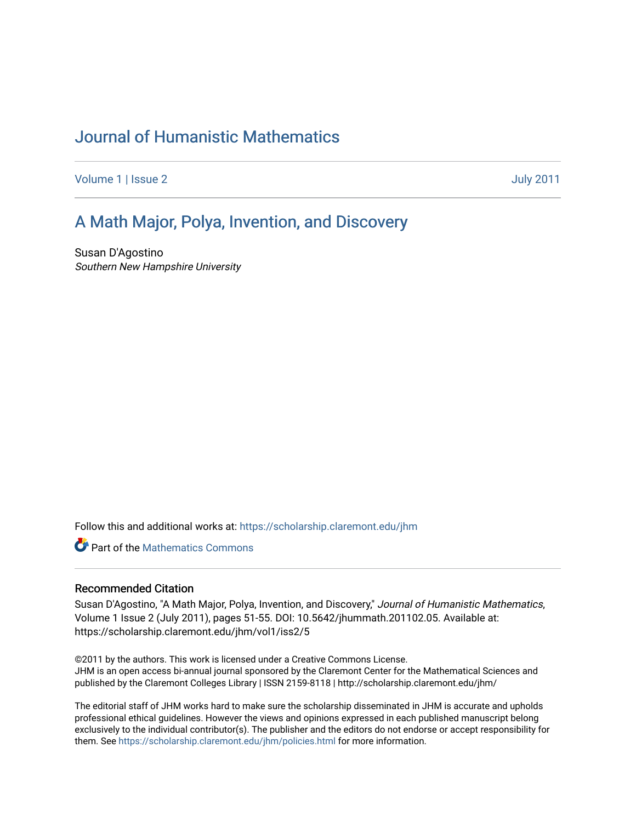# [Journal of Humanistic Mathematics](https://scholarship.claremont.edu/jhm)

[Volume 1](https://scholarship.claremont.edu/jhm/vol1) | [Issue 2](https://scholarship.claremont.edu/jhm/vol1/iss2) [July 2011](https://scholarship.claremont.edu/jhm/vol1/iss2) 

### [A Math Major, Polya, Invention, and Disco](https://scholarship.claremont.edu/jhm/vol1/iss2/5)very

Susan D'Agostino Southern New Hampshire University

Follow this and additional works at: [https://scholarship.claremont.edu/jhm](https://scholarship.claremont.edu/jhm?utm_source=scholarship.claremont.edu%2Fjhm%2Fvol1%2Fiss2%2F5&utm_medium=PDF&utm_campaign=PDFCoverPages)

Part of the [Mathematics Commons](http://network.bepress.com/hgg/discipline/174?utm_source=scholarship.claremont.edu%2Fjhm%2Fvol1%2Fiss2%2F5&utm_medium=PDF&utm_campaign=PDFCoverPages)

#### Recommended Citation

Susan D'Agostino, "A Math Major, Polya, Invention, and Discovery," Journal of Humanistic Mathematics, Volume 1 Issue 2 (July 2011), pages 51-55. DOI: 10.5642/jhummath.201102.05. Available at: https://scholarship.claremont.edu/jhm/vol1/iss2/5

©2011 by the authors. This work is licensed under a Creative Commons License. JHM is an open access bi-annual journal sponsored by the Claremont Center for the Mathematical Sciences and published by the Claremont Colleges Library | ISSN 2159-8118 | http://scholarship.claremont.edu/jhm/

The editorial staff of JHM works hard to make sure the scholarship disseminated in JHM is accurate and upholds professional ethical guidelines. However the views and opinions expressed in each published manuscript belong exclusively to the individual contributor(s). The publisher and the editors do not endorse or accept responsibility for them. See<https://scholarship.claremont.edu/jhm/policies.html> for more information.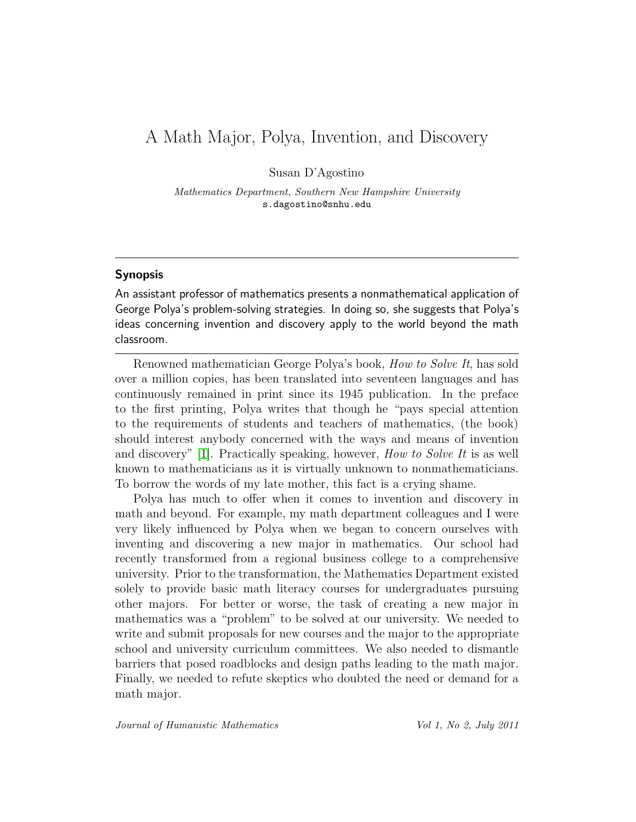## A Math Major, Polya, Invention, and Discovery

Susan D'Agostino

*Mathematics Department, Southern New Hampshire University* s.dagostino@snhu.edu

#### Synopsis

An assistant professor of mathematics presents a nonmathematical application of George Polya's problem-solving strategies. In doing so, she suggests that Polya's ideas concerning invention and discovery apply to the world beyond the math classroom.

Renowned mathematician George Polya's book, *How to Solve It*, has sold over a million copies, has been translated into seventeen languages and has continuously remained in print since its 1945 publication. In the preface to the first printing, Polya writes that though he "pays special attention to the requirements of students and teachers of mathematics, (the book) should interest anybody concerned with the ways and means of invention and discovery" [\[1\]](#page-5-0). Practically speaking, however, *How to Solve It* is as well known to mathematicians as it is virtually unknown to nonmathematicians. To borrow the words of my late mother, this fact is a crying shame.

Polya has much to offer when it comes to invention and discovery in math and beyond. For example, my math department colleagues and I were very likely influenced by Polya when we began to concern ourselves with inventing and discovering a new major in mathematics. Our school had recently transformed from a regional business college to a comprehensive university. Prior to the transformation, the Mathematics Department existed solely to provide basic math literacy courses for undergraduates pursuing other majors. For better or worse, the task of creating a new major in mathematics was a "problem" to be solved at our university. We needed to write and submit proposals for new courses and the major to the appropriate school and university curriculum committees. We also needed to dismantle barriers that posed roadblocks and design paths leading to the math major. Finally, we needed to refute skeptics who doubted the need or demand for a math major.

*Journal of Humanistic Mathematics Vol 1, No 2, July 2011*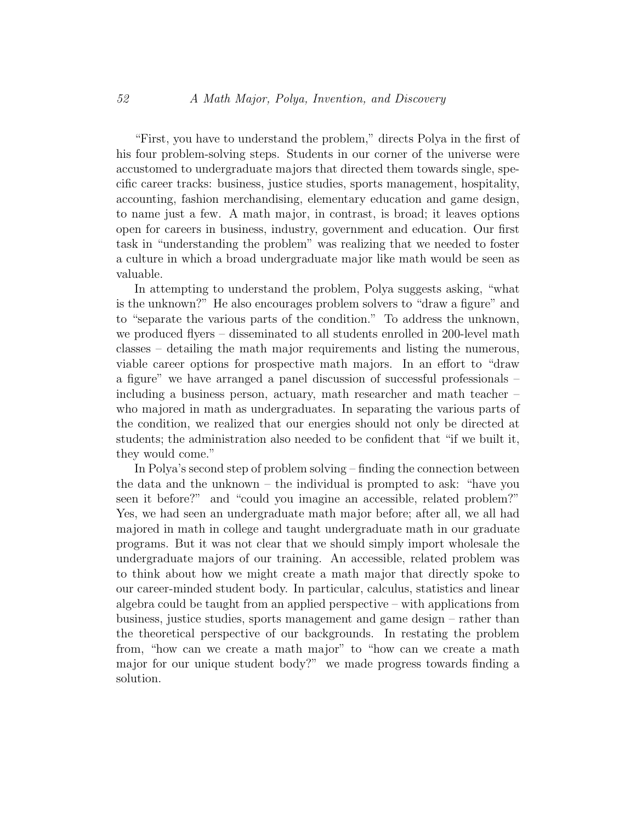"First, you have to understand the problem," directs Polya in the first of his four problem-solving steps. Students in our corner of the universe were accustomed to undergraduate majors that directed them towards single, specific career tracks: business, justice studies, sports management, hospitality, accounting, fashion merchandising, elementary education and game design, to name just a few. A math major, in contrast, is broad; it leaves options open for careers in business, industry, government and education. Our first task in "understanding the problem" was realizing that we needed to foster a culture in which a broad undergraduate major like math would be seen as valuable.

In attempting to understand the problem, Polya suggests asking, "what is the unknown?" He also encourages problem solvers to "draw a figure" and to "separate the various parts of the condition." To address the unknown, we produced flyers – disseminated to all students enrolled in 200-level math classes – detailing the math major requirements and listing the numerous, viable career options for prospective math majors. In an effort to "draw a figure" we have arranged a panel discussion of successful professionals – including a business person, actuary, math researcher and math teacher – who majored in math as undergraduates. In separating the various parts of the condition, we realized that our energies should not only be directed at students; the administration also needed to be confident that "if we built it, they would come."

In Polya's second step of problem solving – finding the connection between the data and the unknown – the individual is prompted to ask: "have you seen it before?" and "could you imagine an accessible, related problem?" Yes, we had seen an undergraduate math major before; after all, we all had majored in math in college and taught undergraduate math in our graduate programs. But it was not clear that we should simply import wholesale the undergraduate majors of our training. An accessible, related problem was to think about how we might create a math major that directly spoke to our career-minded student body. In particular, calculus, statistics and linear algebra could be taught from an applied perspective – with applications from business, justice studies, sports management and game design – rather than the theoretical perspective of our backgrounds. In restating the problem from, "how can we create a math major" to "how can we create a math major for our unique student body?" we made progress towards finding a solution.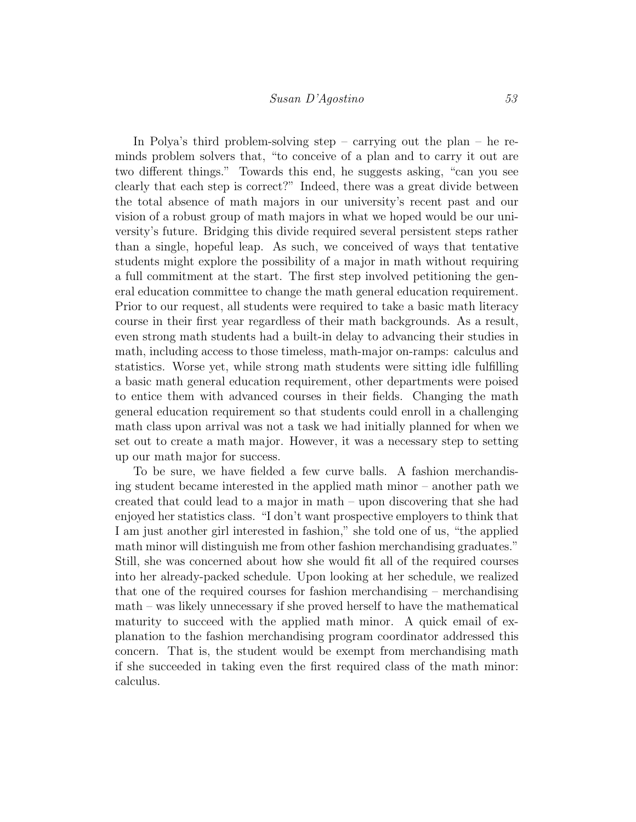In Polya's third problem-solving step – carrying out the plan – he reminds problem solvers that, "to conceive of a plan and to carry it out are two different things." Towards this end, he suggests asking, "can you see clearly that each step is correct?" Indeed, there was a great divide between the total absence of math majors in our university's recent past and our vision of a robust group of math majors in what we hoped would be our university's future. Bridging this divide required several persistent steps rather than a single, hopeful leap. As such, we conceived of ways that tentative students might explore the possibility of a major in math without requiring a full commitment at the start. The first step involved petitioning the general education committee to change the math general education requirement. Prior to our request, all students were required to take a basic math literacy course in their first year regardless of their math backgrounds. As a result, even strong math students had a built-in delay to advancing their studies in math, including access to those timeless, math-major on-ramps: calculus and statistics. Worse yet, while strong math students were sitting idle fulfilling a basic math general education requirement, other departments were poised to entice them with advanced courses in their fields. Changing the math general education requirement so that students could enroll in a challenging math class upon arrival was not a task we had initially planned for when we set out to create a math major. However, it was a necessary step to setting up our math major for success.

To be sure, we have fielded a few curve balls. A fashion merchandising student became interested in the applied math minor – another path we created that could lead to a major in math – upon discovering that she had enjoyed her statistics class. "I don't want prospective employers to think that I am just another girl interested in fashion," she told one of us, "the applied math minor will distinguish me from other fashion merchandising graduates." Still, she was concerned about how she would fit all of the required courses into her already-packed schedule. Upon looking at her schedule, we realized that one of the required courses for fashion merchandising – merchandising math – was likely unnecessary if she proved herself to have the mathematical maturity to succeed with the applied math minor. A quick email of explanation to the fashion merchandising program coordinator addressed this concern. That is, the student would be exempt from merchandising math if she succeeded in taking even the first required class of the math minor: calculus.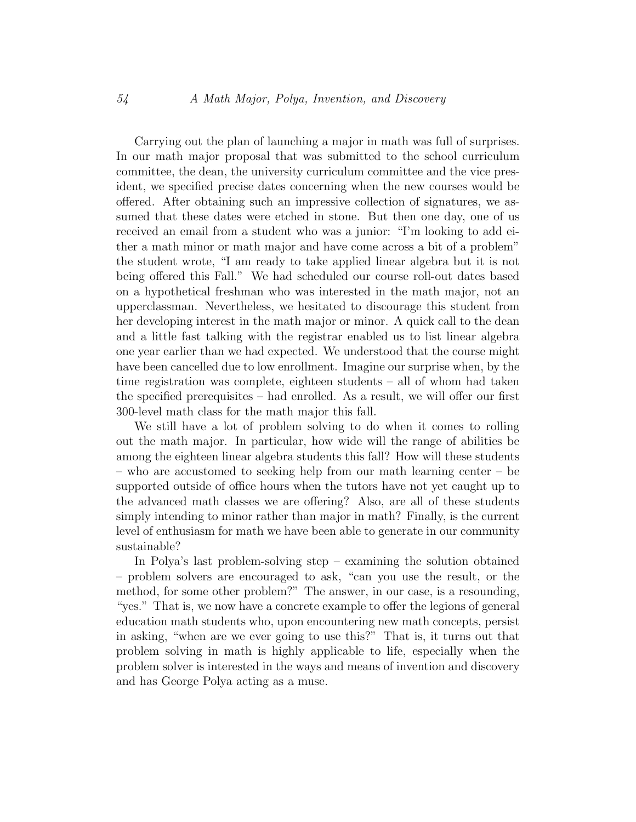Carrying out the plan of launching a major in math was full of surprises. In our math major proposal that was submitted to the school curriculum committee, the dean, the university curriculum committee and the vice president, we specified precise dates concerning when the new courses would be offered. After obtaining such an impressive collection of signatures, we assumed that these dates were etched in stone. But then one day, one of us received an email from a student who was a junior: "I'm looking to add either a math minor or math major and have come across a bit of a problem" the student wrote, "I am ready to take applied linear algebra but it is not being offered this Fall." We had scheduled our course roll-out dates based on a hypothetical freshman who was interested in the math major, not an upperclassman. Nevertheless, we hesitated to discourage this student from her developing interest in the math major or minor. A quick call to the dean and a little fast talking with the registrar enabled us to list linear algebra one year earlier than we had expected. We understood that the course might have been cancelled due to low enrollment. Imagine our surprise when, by the time registration was complete, eighteen students – all of whom had taken the specified prerequisites – had enrolled. As a result, we will offer our first 300-level math class for the math major this fall.

We still have a lot of problem solving to do when it comes to rolling out the math major. In particular, how wide will the range of abilities be among the eighteen linear algebra students this fall? How will these students – who are accustomed to seeking help from our math learning center – be supported outside of office hours when the tutors have not yet caught up to the advanced math classes we are offering? Also, are all of these students simply intending to minor rather than major in math? Finally, is the current level of enthusiasm for math we have been able to generate in our community sustainable?

In Polya's last problem-solving step – examining the solution obtained – problem solvers are encouraged to ask, "can you use the result, or the method, for some other problem?" The answer, in our case, is a resounding, "yes." That is, we now have a concrete example to offer the legions of general education math students who, upon encountering new math concepts, persist in asking, "when are we ever going to use this?" That is, it turns out that problem solving in math is highly applicable to life, especially when the problem solver is interested in the ways and means of invention and discovery and has George Polya acting as a muse.